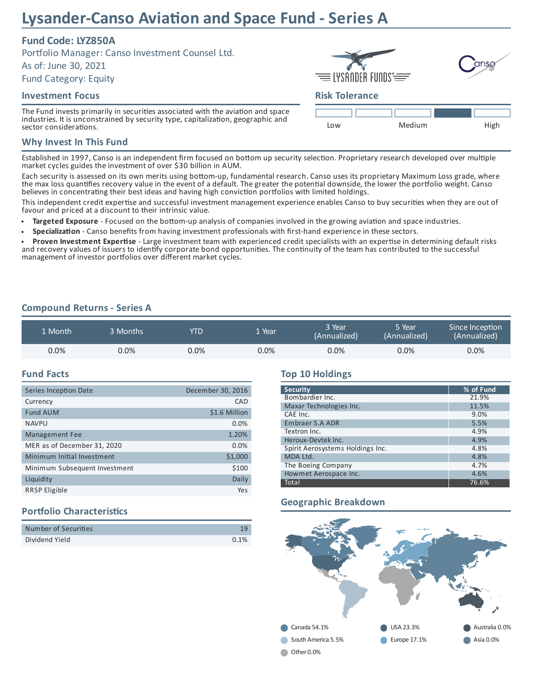# **Lysander-Canso Aviation and Space Fund - Series A**

## **Fund Code: LYZ850A**

Portfolio Manager: Canso Investment Counsel Ltd.

As of: June 30, 2021

Fund Category: Equity

#### **Investment Focus**

The Fund invests primarily in securities associated with the aviation and space industries. It is unconstrained by security type, capitalization, geographic and sector considerations.

#### **Why Invest In This Fund**

Established in 1997, Canso is an independent firm focused on bottom up security selection. Proprietary research developed over multiple market cycles guides the investment of over \$30 billion in AUM.

Each security is assessed on its own merits using bottom-up, fundamental research. Canso uses its proprietary Maximum Loss grade, where the max loss quantifies recovery value in the event of a default. The greater the potential downside, the lower the portfolio weight. Canso believes in concentrating their best ideas and having high conviction portfolios with limited holdings.

This independent credit expertise and successful investment management experience enables Canso to buy securities when they are out of favour and priced at a discount to their intrinsic value.

Targeted Exposure - Focused on the bottom-up analysis of companies involved in the growing aviation and space industries.

**Specialization** - Canso benefits from having investment professionals with first-hand experience in these sectors.

**Proven Investment Expertise** - Large investment team with experienced credit specialists with an expertise in determining default risks and recovery values of issuers to identify corporate bond opportunities. The continuity of the team has contributed to the successful management of investor portfolios over different market cycles.

## **Compound Returns - Series A**

| L Month' | 3 Months ' | <b>YTD</b> | . Year  | 3 Year<br>(Annualized) | 5 Year<br>(Annualized) | Since Inception<br>(Annualized) |
|----------|------------|------------|---------|------------------------|------------------------|---------------------------------|
| $0.0\%$  | $0.0\%$    | $0.0\%$    | $0.0\%$ | 0.0%                   | 0.0%                   | $0.0\%$                         |

#### **Fund Facts**

| Series Inception Date         | December 30, 2016 |
|-------------------------------|-------------------|
| Currency                      | CAD               |
| <b>Fund AUM</b>               | \$1.6 Million     |
| <b>NAVPU</b>                  | 0.0%              |
| <b>Management Fee</b>         | 1.20%             |
| MER as of December 31, 2020   | 0.0%              |
| Minimum Initial Investment    | \$1,000           |
| Minimum Subsequent Investment | \$100             |
| Liquidity                     | Daily             |
| <b>RRSP Eligible</b>          | Yes               |

## **Portfolio Characteristics**

| Number of Securities |      |
|----------------------|------|
| Dividend Yield       | 0.1% |

#### **Top 10 Holdings**

| <b>Security</b>                  | % of Fund |  |  |
|----------------------------------|-----------|--|--|
| Bombardier Inc.                  | 21.9%     |  |  |
| Maxar Technologies Inc.          | 11.5%     |  |  |
| CAE Inc.                         | 9.0%      |  |  |
| <b>Embraer S.A ADR</b>           | 5.5%      |  |  |
| Textron Inc.                     | 4.9%      |  |  |
| Heroux-Devtek Inc.               | 4.9%      |  |  |
| Spirit Aerosystems Holdings Inc. | 4.8%      |  |  |
| MDA Ltd.                         | 4.8%      |  |  |
| The Boeing Company               | 4.7%      |  |  |
| Howmet Aerospace Inc.            | 4.6%      |  |  |
| Total                            | 76.6%     |  |  |

## **Geographic Breakdown**